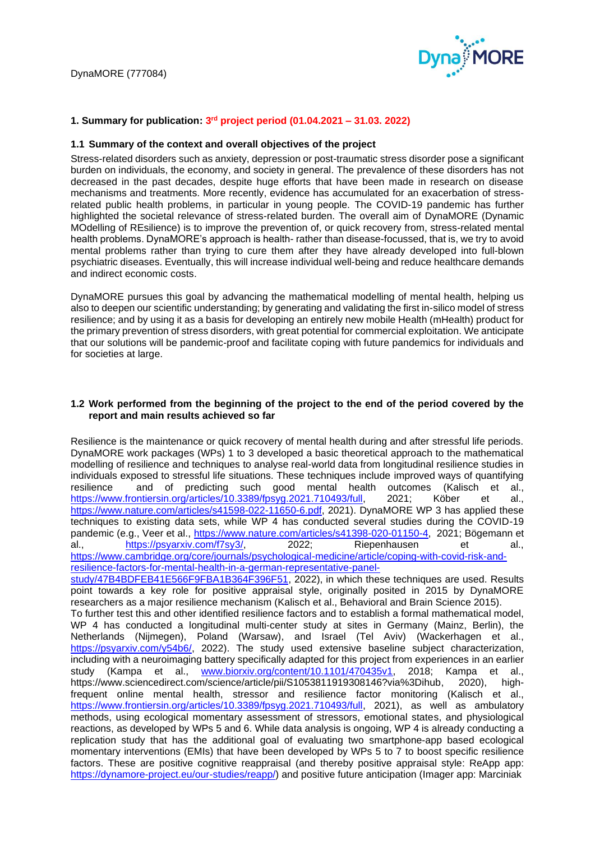

# **1. Summary for publication: 3 rd project period (01.04.2021 – 31.03. 2022)**

## **1.1 Summary of the context and overall objectives of the project**

Stress-related disorders such as anxiety, depression or post-traumatic stress disorder pose a significant burden on individuals, the economy, and society in general. The prevalence of these disorders has not decreased in the past decades, despite huge efforts that have been made in research on disease mechanisms and treatments. More recently, evidence has accumulated for an exacerbation of stressrelated public health problems, in particular in young people. The COVID-19 pandemic has further highlighted the societal relevance of stress-related burden. The overall aim of DynaMORE (Dynamic MOdelling of REsilience) is to improve the prevention of, or quick recovery from, stress-related mental health problems. DynaMORE's approach is health- rather than disease-focussed, that is, we try to avoid mental problems rather than trying to cure them after they have already developed into full-blown psychiatric diseases. Eventually, this will increase individual well-being and reduce healthcare demands and indirect economic costs.

DynaMORE pursues this goal by advancing the mathematical modelling of mental health, helping us also to deepen our scientific understanding; by generating and validating the first in-silico model of stress resilience; and by using it as a basis for developing an entirely new mobile Health (mHealth) product for the primary prevention of stress disorders, with great potential for commercial exploitation. We anticipate that our solutions will be pandemic-proof and facilitate coping with future pandemics for individuals and for societies at large.

#### **1.2 Work performed from the beginning of the project to the end of the period covered by the report and main results achieved so far**

Resilience is the maintenance or quick recovery of mental health during and after stressful life periods. DynaMORE work packages (WPs) 1 to 3 developed a basic theoretical approach to the mathematical modelling of resilience and techniques to analyse real-world data from longitudinal resilience studies in individuals exposed to stressful life situations. These techniques include improved ways of quantifying resilience and of predicting such good mental health outcomes (Kalisch et al., [https://www.frontiersin.org/articles/10.3389/fpsyg.2021.710493/full,](https://www.frontiersin.org/articles/10.3389/fpsyg.2021.710493/full) 2021; Köber et al., [https://www.nature.com/articles/s41598-022-11650-6.pdf,](https://www.nature.com/articles/s41598-022-11650-6.pdf) 2021). DynaMORE WP 3 has applied these techniques to existing data sets, while WP 4 has conducted several studies during the COVID-19 pandemic (e.g., Veer et al., [https://www.nature.com/articles/s41398-020-01150-4,](https://www.nature.com/articles/s41398-020-01150-4) 2021; Bögemann et al., [https://psyarxiv.com/f7sy3/,](https://psyarxiv.com/f7sy3/) 2022; Riepenhausen et al., [https://www.cambridge.org/core/journals/psychological-medicine/article/coping-with-covid-risk-and](https://www.cambridge.org/core/journals/psychological-medicine/article/coping-with-covid-risk-and-resilience-factors-for-mental-health-in-a-german-representative-panel-study/47B4BDFEB41E566F9FBA1B364F396F51)[resilience-factors-for-mental-health-in-a-german-representative-panel](https://www.cambridge.org/core/journals/psychological-medicine/article/coping-with-covid-risk-and-resilience-factors-for-mental-health-in-a-german-representative-panel-study/47B4BDFEB41E566F9FBA1B364F396F51)[study/47B4BDFEB41E566F9FBA1B364F396F51,](https://www.cambridge.org/core/journals/psychological-medicine/article/coping-with-covid-risk-and-resilience-factors-for-mental-health-in-a-german-representative-panel-study/47B4BDFEB41E566F9FBA1B364F396F51) 2022), in which these techniques are used. Results point towards a key role for positive appraisal style, originally posited in 2015 by DynaMORE researchers as a major resilience mechanism (Kalisch et al., Behavioral and Brain Science 2015). To further test this and other identified resilience factors and to establish a formal mathematical model, WP 4 has conducted a longitudinal multi-center study at sites in Germany (Mainz, Berlin), the Netherlands (Nijmegen), Poland (Warsaw), and Israel (Tel Aviv) (Wackerhagen et al., [https://psyarxiv.com/y54b6/,](https://psyarxiv.com/y54b6/) 2022). The study used extensive baseline subject characterization,

including with a neuroimaging battery specifically adapted for this project from experiences in an earlier study (Kampa et al., [www.biorxiv.org/content/10.1101/470435v1,](http://www.biorxiv.org/content/10.1101/470435v1) 2018; Kampa et al., https://www.sciencedirect.com/science/article/pii/S1053811919308146?via%3Dihub, 2020), highfrequent online mental health, stressor and resilience factor monitoring (Kalisch et al., [https://www.frontiersin.org/articles/10.3389/fpsyg.2021.710493/full,](https://www.frontiersin.org/articles/10.3389/fpsyg.2021.710493/full) 2021), as well as ambulatory methods, using ecological momentary assessment of stressors, emotional states, and physiological reactions, as developed by WPs 5 and 6. While data analysis is ongoing, WP 4 is already conducting a replication study that has the additional goal of evaluating two smartphone-app based ecological momentary interventions (EMIs) that have been developed by WPs 5 to 7 to boost specific resilience factors. These are positive cognitive reappraisal (and thereby positive appraisal style: ReApp app: [https://dynamore-project.eu/our-studies/reapp/\)](https://dynamore-project.eu/our-studies/reapp/) and positive future anticipation (Imager app: Marciniak